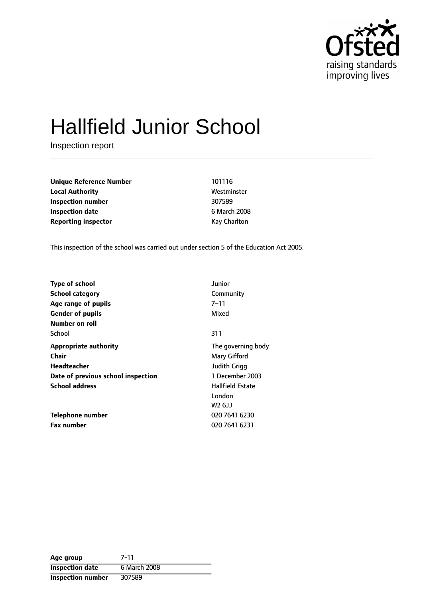

# Hallfield Junior School

Inspection report

| <b>Unique Reference Number</b> |  |
|--------------------------------|--|
| <b>Local Authority</b>         |  |
| Inspection number              |  |
| <b>Inspection date</b>         |  |
| <b>Reporting inspector</b>     |  |

**Unique Reference Number** 101116 **Local Authority** Westminster **Inspection number** 307589 **Inspection date** 6 March 2008 **Kay Charlton** 

This inspection of the school was carried out under section 5 of the Education Act 2005.

| Junior                  |
|-------------------------|
| Community               |
| 7–11                    |
| Mixed                   |
|                         |
| 311                     |
| The governing body      |
| Mary Gifford            |
| <b>Judith Grigg</b>     |
| 1 December 2003         |
| <b>Hallfield Estate</b> |
| London                  |
| W2 6JJ                  |
| 020 7641 6230           |
| 020 7641 6231           |
|                         |

| Age group              | 7-11         |
|------------------------|--------------|
| <b>Inspection date</b> | 6 March 2008 |
| Inspection number      | 307589       |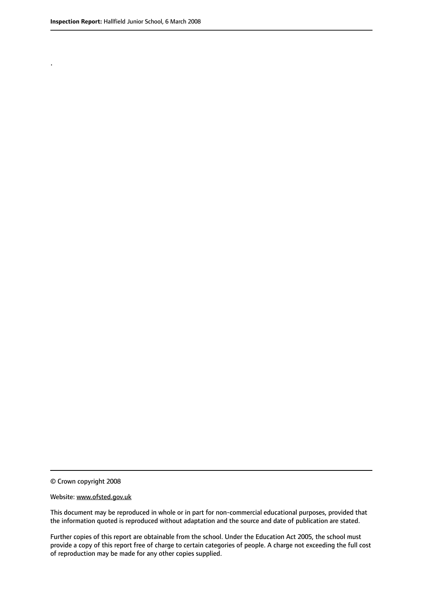.

© Crown copyright 2008

#### Website: www.ofsted.gov.uk

This document may be reproduced in whole or in part for non-commercial educational purposes, provided that the information quoted is reproduced without adaptation and the source and date of publication are stated.

Further copies of this report are obtainable from the school. Under the Education Act 2005, the school must provide a copy of this report free of charge to certain categories of people. A charge not exceeding the full cost of reproduction may be made for any other copies supplied.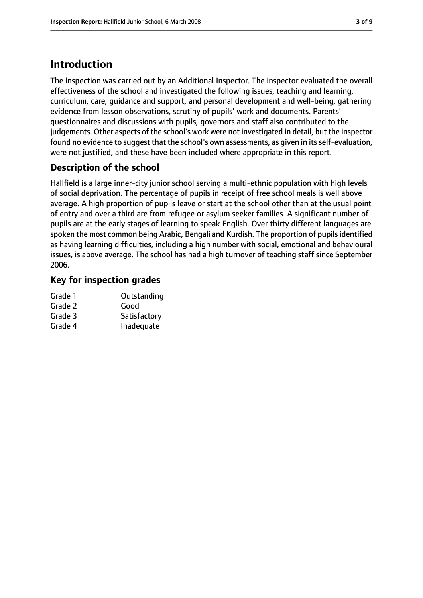# **Introduction**

The inspection was carried out by an Additional Inspector. The inspector evaluated the overall effectiveness of the school and investigated the following issues, teaching and learning, curriculum, care, guidance and support, and personal development and well-being, gathering evidence from lesson observations, scrutiny of pupils' work and documents. Parents' questionnaires and discussions with pupils, governors and staff also contributed to the judgements. Other aspects of the school's work were not investigated in detail, but the inspector found no evidence to suggest that the school's own assessments, as given in its self-evaluation, were not justified, and these have been included where appropriate in this report.

## **Description of the school**

Hallfield is a large inner-city junior school serving a multi-ethnic population with high levels of social deprivation. The percentage of pupils in receipt of free school meals is well above average. A high proportion of pupils leave or start at the school other than at the usual point of entry and over a third are from refugee or asylum seeker families. A significant number of pupils are at the early stages of learning to speak English. Over thirty different languages are spoken the most common being Arabic, Bengali and Kurdish. The proportion of pupils identified as having learning difficulties, including a high number with social, emotional and behavioural issues, is above average. The school has had a high turnover of teaching staff since September 2006.

## **Key for inspection grades**

| Grade 1 | Outstanding  |
|---------|--------------|
| Grade 2 | Good         |
| Grade 3 | Satisfactory |
| Grade 4 | Inadequate   |
|         |              |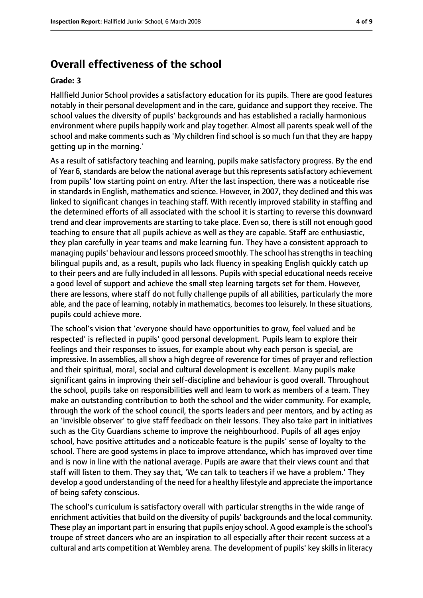# **Overall effectiveness of the school**

#### **Grade: 3**

Hallfield Junior School provides a satisfactory education for its pupils. There are good features notably in their personal development and in the care, guidance and support they receive. The school values the diversity of pupils' backgrounds and has established a racially harmonious environment where pupils happily work and play together. Almost all parents speak well of the school and make comments such as 'My children find school is so much fun that they are happy getting up in the morning.'

As a result of satisfactory teaching and learning, pupils make satisfactory progress. By the end of Year 6, standards are below the national average but this represents satisfactory achievement from pupils' low starting point on entry. After the last inspection, there was a noticeable rise in standards in English, mathematics and science. However, in 2007, they declined and this was linked to significant changes in teaching staff. With recently improved stability in staffing and the determined efforts of all associated with the school it is starting to reverse this downward trend and clear improvements are starting to take place. Even so, there is still not enough good teaching to ensure that all pupils achieve as well as they are capable. Staff are enthusiastic, they plan carefully in year teams and make learning fun. They have a consistent approach to managing pupils' behaviour and lessons proceed smoothly. The school hasstrengthsin teaching bilingual pupils and, as a result, pupils who lack fluency in speaking English quickly catch up to their peers and are fully included in all lessons. Pupils with special educational needs receive a good level of support and achieve the small step learning targets set for them. However, there are lessons, where staff do not fully challenge pupils of all abilities, particularly the more able, and the pace of learning, notably in mathematics, becomes too leisurely. In these situations, pupils could achieve more.

The school's vision that 'everyone should have opportunities to grow, feel valued and be respected' is reflected in pupils' good personal development. Pupils learn to explore their feelings and their responses to issues, for example about why each person is special, are impressive. In assemblies, all show a high degree of reverence for times of prayer and reflection and their spiritual, moral, social and cultural development is excellent. Many pupils make significant gains in improving their self-discipline and behaviour is good overall. Throughout the school, pupils take on responsibilities well and learn to work as members of a team. They make an outstanding contribution to both the school and the wider community. For example, through the work of the school council, the sports leaders and peer mentors, and by acting as an 'invisible observer' to give staff feedback on their lessons. They also take part in initiatives such as the City Guardians scheme to improve the neighbourhood. Pupils of all ages enjoy school, have positive attitudes and a noticeable feature is the pupils' sense of loyalty to the school. There are good systems in place to improve attendance, which has improved over time and is now in line with the national average. Pupils are aware that their views count and that staff will listen to them. They say that, 'We can talk to teachers if we have a problem.' They develop a good understanding of the need for a healthy lifestyle and appreciate the importance of being safety conscious.

The school's curriculum is satisfactory overall with particular strengths in the wide range of enrichment activities that build on the diversity of pupils' backgrounds and the local community. These play an important part in ensuring that pupils enjoy school. A good example is the school's troupe of street dancers who are an inspiration to all especially after their recent success at a cultural and arts competition at Wembley arena. The development of pupils' key skills in literacy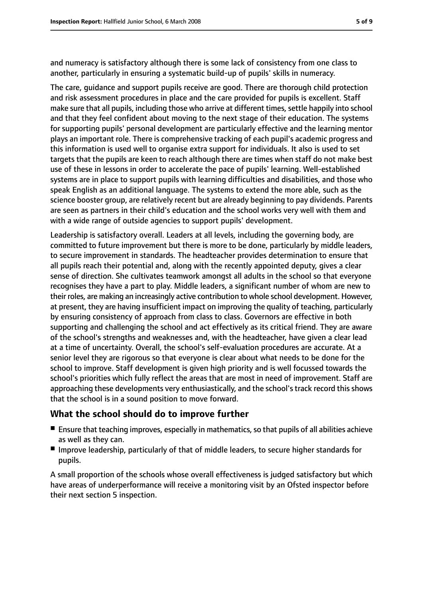and numeracy is satisfactory although there is some lack of consistency from one class to another, particularly in ensuring a systematic build-up of pupils' skills in numeracy.

The care, guidance and support pupils receive are good. There are thorough child protection and risk assessment procedures in place and the care provided for pupils is excellent. Staff make sure that all pupils, including those who arrive at different times, settle happily into school and that they feel confident about moving to the next stage of their education. The systems for supporting pupils' personal development are particularly effective and the learning mentor plays an important role. There is comprehensive tracking of each pupil's academic progress and this information is used well to organise extra support for individuals. It also is used to set targets that the pupils are keen to reach although there are times when staff do not make best use of these in lessons in order to accelerate the pace of pupils' learning. Well-established systems are in place to support pupils with learning difficulties and disabilities, and those who speak English as an additional language. The systems to extend the more able, such as the science booster group, are relatively recent but are already beginning to pay dividends. Parents are seen as partners in their child's education and the school works very well with them and with a wide range of outside agencies to support pupils' development.

Leadership is satisfactory overall. Leaders at all levels, including the governing body, are committed to future improvement but there is more to be done, particularly by middle leaders, to secure improvement in standards. The headteacher provides determination to ensure that all pupils reach their potential and, along with the recently appointed deputy, gives a clear sense of direction. She cultivates teamwork amongst all adults in the school so that everyone recognises they have a part to play. Middle leaders, a significant number of whom are new to their roles, are making an increasingly active contribution to whole school development. However, at present, they are having insufficient impact on improving the quality of teaching, particularly by ensuring consistency of approach from class to class. Governors are effective in both supporting and challenging the school and act effectively as its critical friend. They are aware of the school's strengths and weaknesses and, with the headteacher, have given a clear lead at a time of uncertainty. Overall, the school's self-evaluation procedures are accurate. At a senior level they are rigorous so that everyone is clear about what needs to be done for the school to improve. Staff development is given high priority and is well focussed towards the school's priorities which fully reflect the areas that are most in need of improvement. Staff are approaching these developments very enthusiastically, and the school's track record this shows that the school is in a sound position to move forward.

### **What the school should do to improve further**

- Ensure that teaching improves, especially in mathematics, so that pupils of all abilities achieve as well as they can.
- Improve leadership, particularly of that of middle leaders, to secure higher standards for pupils.

A small proportion of the schools whose overall effectiveness is judged satisfactory but which have areas of underperformance will receive a monitoring visit by an Ofsted inspector before their next section 5 inspection.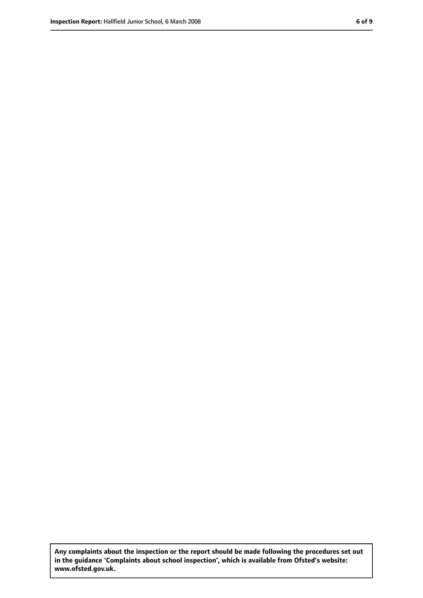**Any complaints about the inspection or the report should be made following the procedures set out in the guidance 'Complaints about school inspection', which is available from Ofsted's website: www.ofsted.gov.uk.**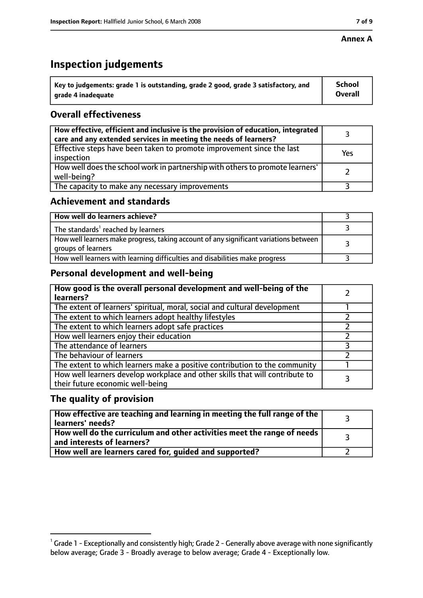#### **Annex A**

# **Inspection judgements**

| $^{\backprime}$ Key to judgements: grade 1 is outstanding, grade 2 good, grade 3 satisfactory, and | School         |
|----------------------------------------------------------------------------------------------------|----------------|
| arade 4 inadeguate                                                                                 | <b>Overall</b> |

## **Overall effectiveness**

| How effective, efficient and inclusive is the provision of education, integrated<br>care and any extended services in meeting the needs of learners? |     |
|------------------------------------------------------------------------------------------------------------------------------------------------------|-----|
| Effective steps have been taken to promote improvement since the last<br>inspection                                                                  | Yes |
| How well does the school work in partnership with others to promote learners'<br>well-being?                                                         |     |
| The capacity to make any necessary improvements                                                                                                      |     |

## **Achievement and standards**

| How well do learners achieve?                                                                               |  |
|-------------------------------------------------------------------------------------------------------------|--|
| The standards <sup>1</sup> reached by learners                                                              |  |
| How well learners make progress, taking account of any significant variations between<br>groups of learners |  |
| How well learners with learning difficulties and disabilities make progress                                 |  |

## **Personal development and well-being**

| How good is the overall personal development and well-being of the<br>learners?                                  |   |
|------------------------------------------------------------------------------------------------------------------|---|
| The extent of learners' spiritual, moral, social and cultural development                                        |   |
| The extent to which learners adopt healthy lifestyles                                                            |   |
| The extent to which learners adopt safe practices                                                                |   |
| How well learners enjoy their education                                                                          |   |
| The attendance of learners                                                                                       | っ |
| The behaviour of learners                                                                                        |   |
| The extent to which learners make a positive contribution to the community                                       |   |
| How well learners develop workplace and other skills that will contribute to<br>their future economic well-being |   |

## **The quality of provision**

| $\mid$ How effective are teaching and learning in meeting the full range of the $\mid$<br>learners' needs? |  |
|------------------------------------------------------------------------------------------------------------|--|
| How well do the curriculum and other activities meet the range of needs  <br>and interests of learners?    |  |
| How well are learners cared for, guided and supported?                                                     |  |

 $^1$  Grade 1 - Exceptionally and consistently high; Grade 2 - Generally above average with none significantly below average; Grade 3 - Broadly average to below average; Grade 4 - Exceptionally low.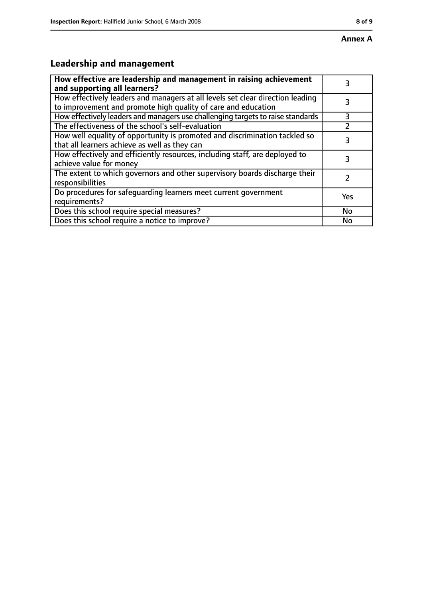# **Leadership and management**

| How effective are leadership and management in raising achievement<br>and supporting all learners?                                              |     |
|-------------------------------------------------------------------------------------------------------------------------------------------------|-----|
| How effectively leaders and managers at all levels set clear direction leading<br>to improvement and promote high quality of care and education |     |
| How effectively leaders and managers use challenging targets to raise standards                                                                 | 3   |
| The effectiveness of the school's self-evaluation                                                                                               |     |
| How well equality of opportunity is promoted and discrimination tackled so<br>that all learners achieve as well as they can                     | 3   |
| How effectively and efficiently resources, including staff, are deployed to<br>achieve value for money                                          | 3   |
| The extent to which governors and other supervisory boards discharge their<br>responsibilities                                                  |     |
| Do procedures for safequarding learners meet current government<br>requirements?                                                                | Yes |
| Does this school require special measures?                                                                                                      | No  |
| Does this school require a notice to improve?                                                                                                   | No  |